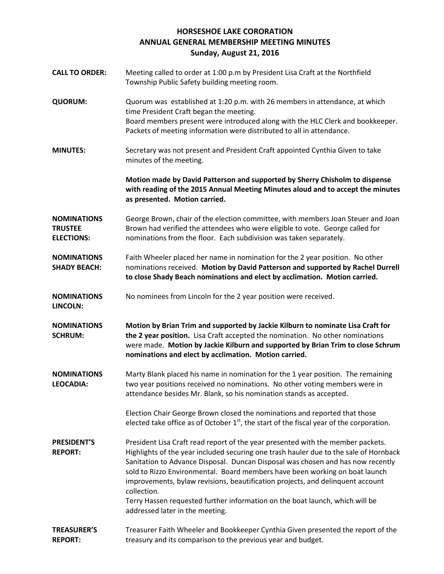## **HORSESHOE LAKE CORORATION ANNUAL GENERAL MEMBERSHIP MEETING MINUTES Sunday, August 21, 2016**

- **CALL TO ORDER:** Meeting called to order at 1:00 p.m by President Lisa Craft at the Northfield Township Public Safety building meeting room.
- **QUORUM:** Quorum was established at 1:20 p.m. with 26 members in attendance, at which time President Craft began the meeting. Board members present were introduced along with the HLC Clerk and bookkeeper. Packets of meeting information were distributed to all in attendance.
- **MINUTES:** Secretary was not present and President Craft appointed Cynthia Given to take minutes of the meeting.

**Motion made by David Patterson and supported by Sherry Chisholm to dispense with reading of the 2015 Annual Meeting Minutes aloud and to accept the minutes as presented. Motion carried.**

**NOMINATIONS TRUSTEE ELECTIONS:** George Brown, chair of the election committee, with members Joan Steuer and Joan Brown had verified the attendees who were eligible to vote. George called for nominations from the floor. Each subdivision was taken separately.

**NOMINATIONS SHADY BEACH:** Faith Wheeler placed her name in nomination for the 2 year position. No other nominations received. **Motion by David Patterson and supported by Rachel Durrell to close Shady Beach nominations and elect by acclimation. Motion carried.**

**NOMINATIONS** No nominees from Lincoln for the 2 year position were received.

**LINCOLN:**

**NOMINATIONS SCHRUM: Motion by Brian Trim and supported by Jackie Kilburn to nominate Lisa Craft for the 2 year position.** Lisa Craft accepted the nomination. No other nominations were made. **Motion by Jackie Kilburn and supported by Brian Trim to close Schrum nominations and elect by acclimation. Motion carried.**

**NOMINATIONS LEOCADIA:** Marty Blank placed his name in nomination for the 1 year position. The remaining two year positions received no nominations. No other voting members were in attendance besides Mr. Blank, so his nomination stands as accepted.

> Election Chair George Brown closed the nominations and reported that those elected take office as of October  $1<sup>st</sup>$ , the start of the fiscal year of the corporation.

- **PRESIDENT'S REPORT:** President Lisa Craft read report of the year presented with the member packets. Highlights of the year included securing one trash hauler due to the sale of Hornback Sanitation to Advance Disposal. Duncan Disposal was chosen and has now recently sold to Rizzo Environmental. Board members have been working on boat launch improvements, bylaw revisions, beautification projects, and delinquent account collection. Terry Hassen requested further information on the boat launch, which will be addressed later in the meeting.
- **TREASURER'S REPORT:** Treasurer Faith Wheeler and Bookkeeper Cynthia Given presented the report of the treasury and its comparison to the previous year and budget.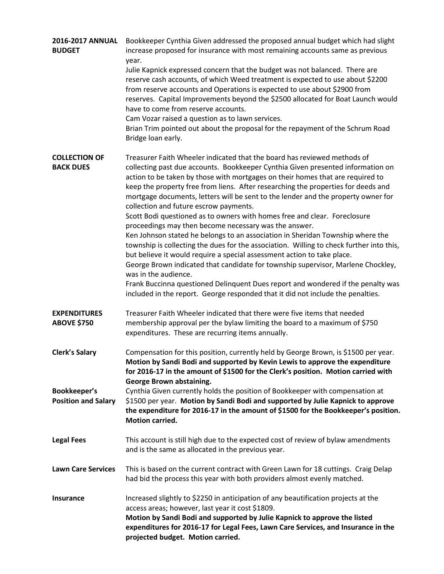| 2016-2017 ANNUAL<br><b>BUDGET</b>          | Bookkeeper Cynthia Given addressed the proposed annual budget which had slight<br>increase proposed for insurance with most remaining accounts same as previous<br>year.<br>Julie Kapnick expressed concern that the budget was not balanced. There are<br>reserve cash accounts, of which Weed treatment is expected to use about \$2200<br>from reserve accounts and Operations is expected to use about \$2900 from<br>reserves. Capital Improvements beyond the \$2500 allocated for Boat Launch would<br>have to come from reserve accounts.<br>Cam Vozar raised a question as to lawn services.<br>Brian Trim pointed out about the proposal for the repayment of the Schrum Road<br>Bridge loan early.                                                                                                                                                                                                                                                                                                                                                                                                                                       |
|--------------------------------------------|-----------------------------------------------------------------------------------------------------------------------------------------------------------------------------------------------------------------------------------------------------------------------------------------------------------------------------------------------------------------------------------------------------------------------------------------------------------------------------------------------------------------------------------------------------------------------------------------------------------------------------------------------------------------------------------------------------------------------------------------------------------------------------------------------------------------------------------------------------------------------------------------------------------------------------------------------------------------------------------------------------------------------------------------------------------------------------------------------------------------------------------------------------|
| <b>COLLECTION OF</b><br><b>BACK DUES</b>   | Treasurer Faith Wheeler indicated that the board has reviewed methods of<br>collecting past due accounts. Bookkeeper Cynthia Given presented information on<br>action to be taken by those with mortgages on their homes that are required to<br>keep the property free from liens. After researching the properties for deeds and<br>mortgage documents, letters will be sent to the lender and the property owner for<br>collection and future escrow payments.<br>Scott Bodi questioned as to owners with homes free and clear. Foreclosure<br>proceedings may then become necessary was the answer.<br>Ken Johnson stated he belongs to an association in Sheridan Township where the<br>township is collecting the dues for the association. Willing to check further into this,<br>but believe it would require a special assessment action to take place.<br>George Brown indicated that candidate for township supervisor, Marlene Chockley,<br>was in the audience.<br>Frank Buccinna questioned Delinquent Dues report and wondered if the penalty was<br>included in the report. George responded that it did not include the penalties. |
| <b>EXPENDITURES</b><br><b>ABOVE \$750</b>  | Treasurer Faith Wheeler indicated that there were five items that needed<br>membership approval per the bylaw limiting the board to a maximum of \$750<br>expenditures. These are recurring items annually.                                                                                                                                                                                                                                                                                                                                                                                                                                                                                                                                                                                                                                                                                                                                                                                                                                                                                                                                         |
| <b>Clerk's Salary</b>                      | Compensation for this position, currently held by George Brown, is \$1500 per year.<br>Motion by Sandi Bodi and supported by Kevin Lewis to approve the expenditure<br>for 2016-17 in the amount of \$1500 for the Clerk's position. Motion carried with<br>George Brown abstaining.                                                                                                                                                                                                                                                                                                                                                                                                                                                                                                                                                                                                                                                                                                                                                                                                                                                                |
| Bookkeeper's<br><b>Position and Salary</b> | Cynthia Given currently holds the position of Bookkeeper with compensation at<br>\$1500 per year. Motion by Sandi Bodi and supported by Julie Kapnick to approve<br>the expenditure for 2016-17 in the amount of \$1500 for the Bookkeeper's position.<br><b>Motion carried.</b>                                                                                                                                                                                                                                                                                                                                                                                                                                                                                                                                                                                                                                                                                                                                                                                                                                                                    |
| <b>Legal Fees</b>                          | This account is still high due to the expected cost of review of bylaw amendments<br>and is the same as allocated in the previous year.                                                                                                                                                                                                                                                                                                                                                                                                                                                                                                                                                                                                                                                                                                                                                                                                                                                                                                                                                                                                             |
| <b>Lawn Care Services</b>                  | This is based on the current contract with Green Lawn for 18 cuttings. Craig Delap<br>had bid the process this year with both providers almost evenly matched.                                                                                                                                                                                                                                                                                                                                                                                                                                                                                                                                                                                                                                                                                                                                                                                                                                                                                                                                                                                      |
| <b>Insurance</b>                           | Increased slightly to \$2250 in anticipation of any beautification projects at the<br>access areas; however, last year it cost \$1809.<br>Motion by Sandi Bodi and supported by Julie Kapnick to approve the listed<br>expenditures for 2016-17 for Legal Fees, Lawn Care Services, and Insurance in the<br>projected budget. Motion carried.                                                                                                                                                                                                                                                                                                                                                                                                                                                                                                                                                                                                                                                                                                                                                                                                       |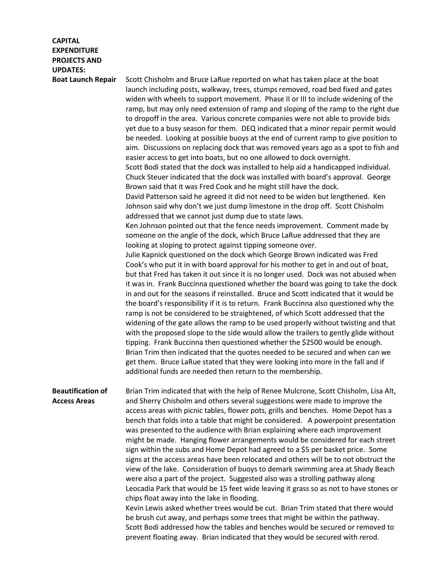## **CAPITAL EXPENDITURE PROJECTS AND UPDATES:**

**Boat Launch Repair** Scott Chisholm and Bruce LaRue reported on what has taken place at the boat launch including posts, walkway, trees, stumps removed, road bed fixed and gates widen with wheels to support movement. Phase II or III to include widening of the ramp, but may only need extension of ramp and sloping of the ramp to the right due to dropoff in the area. Various concrete companies were not able to provide bids yet due to a busy season for them. DEQ indicated that a minor repair permit would be needed. Looking at possible buoys at the end of current ramp to give position to aim. Discussions on replacing dock that was removed years ago as a spot to fish and easier access to get into boats, but no one allowed to dock overnight.

> Scott Bodi stated that the dock was installed to help aid a handicapped individual. Chuck Steuer indicated that the dock was installed with board's approval. George Brown said that it was Fred Cook and he might still have the dock.

David Patterson said he agreed it did not need to be widen but lengthened. Ken Johnson said why don't we just dump limestone in the drop off. Scott Chisholm addressed that we cannot just dump due to state laws.

Ken Johnson pointed out that the fence needs improvement. Comment made by someone on the angle of the dock, which Bruce LaRue addressed that they are looking at sloping to protect against tipping someone over.

Julie Kapnick questioned on the dock which George Brown indicated was Fred Cook's who put it in with board approval for his mother to get in and out of boat, but that Fred has taken it out since it is no longer used. Dock was not abused when it was in. Frank Buccinna questioned whether the board was going to take the dock in and out for the seasons if reinstalled. Bruce and Scott indicated that it would be the board's responsibility if it is to return. Frank Buccinna also questioned why the ramp is not be considered to be straightened, of which Scott addressed that the widening of the gate allows the ramp to be used properly without twisting and that with the proposed slope to the side would allow the trailers to gently glide without tipping. Frank Buccinna then questioned whether the \$2500 would be enough. Brian Trim then indicated that the quotes needed to be secured and when can we get them. Bruce LaRue stated that they were looking into more in the fall and if additional funds are needed then return to the membership.

**Beautification of Access Areas** Brian Trim indicated that with the help of Renee Mulcrone, Scott Chisholm, Lisa Alt, and Sherry Chisholm and others several suggestions were made to improve the access areas with picnic tables, flower pots, grills and benches. Home Depot has a bench that folds into a table that might be considered. A powerpoint presentation was presented to the audience with Brian explaining where each improvement might be made. Hanging flower arrangements would be considered for each street sign within the subs and Home Depot had agreed to a \$5 per basket price. Some signs at the access areas have been relocated and others will be to not obstruct the view of the lake. Consideration of buoys to demark swimming area at Shady Beach were also a part of the project. Suggested also was a strolling pathway along Leocadia Park that would be 15 feet wide leaving it grass so as not to have stones or chips float away into the lake in flooding. Kevin Lewis asked whether trees would be cut. Brian Trim stated that there would be brush cut away, and perhaps some trees that might be within the pathway.

Scott Bodi addressed how the tables and benches would be secured or removed to prevent floating away. Brian indicated that they would be secured with rerod.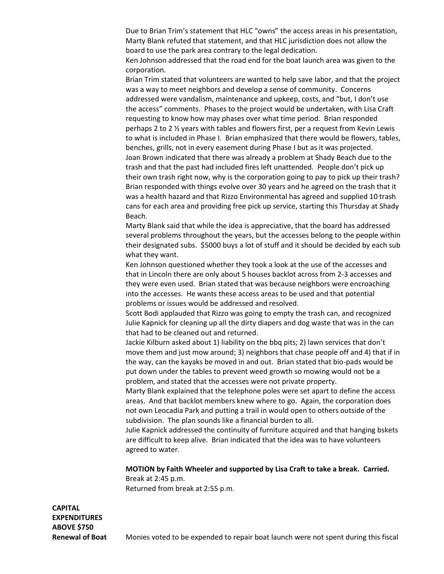Due to Brian Trim's statement that HLC "owns" the access areas in his presentation, Marty Blank refuted that statement, and that HLC jurisdiction does not allow the board to use the park area contrary to the legal dedication.

Ken Johnson addressed that the road end for the boat launch area was given to the corporation.

Brian Trim stated that volunteers are wanted to help save labor, and that the project was a way to meet neighbors and develop a sense of community. Concerns addressed were vandalism, maintenance and upkeep, costs, and "but, I don't use the access" comments. Phases to the project would be undertaken, with Lisa Craft requesting to know how may phases over what time period. Brian responded perhaps 2 to 2 ½ years with tables and flowers first, per a request from Kevin Lewis to what is included in Phase I. Brian emphasized that there would be flowers, tables, benches, grills, not in every easement during Phase I but as it was projected. Joan Brown indicated that there was already a problem at Shady Beach due to the trash and that the past had included fires left unattended. People don't pick up their own trash right now, why is the corporation going to pay to pick up their trash? Brian responded with things evolve over 30 years and he agreed on the trash that it was a health hazard and that Rizzo Environmental has agreed and supplied 10 trash cans for each area and providing free pick up service, starting this Thursday at Shady Beach.

Marty Blank said that while the idea is appreciative, that the board has addressed several problems throughout the years, but the accesses belong to the people within their designated subs. \$5000 buys a lot of stuff and it should be decided by each sub what they want.

Ken Johnson questioned whether they took a look at the use of the accesses and that in Lincoln there are only about 5 houses backlot across from 2-3 accesses and they were even used. Brian stated that was because neighbors were encroaching into the accesses. He wants these access areas to be used and that potential problems or issues would be addressed and resolved.

Scott Bodi applauded that Rizzo was going to empty the trash can, and recognized Julie Kapnick for cleaning up all the dirty diapers and dog waste that was in the can that had to be cleaned out and returned.

Jackie Kilburn asked about 1) liability on the bbq pits; 2) lawn services that don't move them and just mow around; 3) neighbors that chase people off and 4) that if in the way, can the kayaks be moved in and out. Brian stated that bio-pads would be put down under the tables to prevent weed growth so mowing would not be a problem, and stated that the accesses were not private property.

Marty Blank explained that the telephone poles were set apart to define the access areas. And that backlot members knew where to go. Again, the corporation does not own Leocadia Park and putting a trail in would open to others outside of the subdivision. The plan sounds like a financial burden to all.

Julie Kapnick addressed the continuity of furniture acquired and that hanging bskets are difficult to keep alive. Brian indicated that the idea was to have volunteers agreed to water.

**MOTION by Faith Wheeler and supported by Lisa Craft to take a break. Carried.** Break at 2:45 p.m.

Returned from break at 2:55 p.m.

**CAPITAL EXPENDITURES ABOVE \$750**

**Renewal of Boat** Monies voted to be expended to repair boat launch were not spent during this fiscal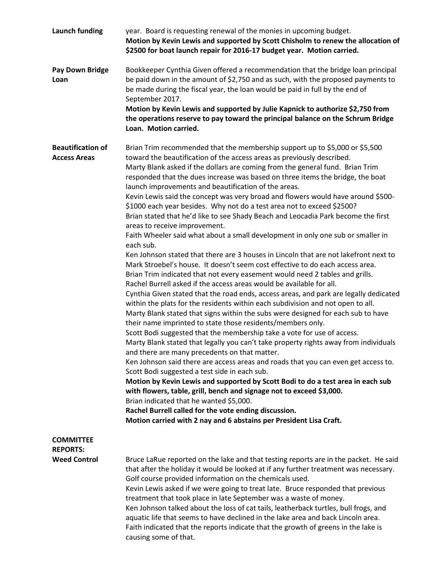| <b>Launch funding</b>                                      | year. Board is requesting renewal of the monies in upcoming budget.<br>Motion by Kevin Lewis and supported by Scott Chisholm to renew the allocation of<br>\$2500 for boat launch repair for 2016-17 budget year. Motion carried.                                                                                                                                                                                                                                                                                                                                                                                                                                                                                                                                                                                                                                                                                                                                                                                                                                                                                                                                                                                                                                                                                                                                                                                                                                                                                                                                                                                                                                                                                                                                                                                                                                                                                                                                                                                                                                                                                                    |
|------------------------------------------------------------|--------------------------------------------------------------------------------------------------------------------------------------------------------------------------------------------------------------------------------------------------------------------------------------------------------------------------------------------------------------------------------------------------------------------------------------------------------------------------------------------------------------------------------------------------------------------------------------------------------------------------------------------------------------------------------------------------------------------------------------------------------------------------------------------------------------------------------------------------------------------------------------------------------------------------------------------------------------------------------------------------------------------------------------------------------------------------------------------------------------------------------------------------------------------------------------------------------------------------------------------------------------------------------------------------------------------------------------------------------------------------------------------------------------------------------------------------------------------------------------------------------------------------------------------------------------------------------------------------------------------------------------------------------------------------------------------------------------------------------------------------------------------------------------------------------------------------------------------------------------------------------------------------------------------------------------------------------------------------------------------------------------------------------------------------------------------------------------------------------------------------------------|
| <b>Pay Down Bridge</b><br>Loan                             | Bookkeeper Cynthia Given offered a recommendation that the bridge loan principal<br>be paid down in the amount of \$2,750 and as such, with the proposed payments to<br>be made during the fiscal year, the loan would be paid in full by the end of<br>September 2017.<br>Motion by Kevin Lewis and supported by Julie Kapnick to authorize \$2,750 from<br>the operations reserve to pay toward the principal balance on the Schrum Bridge<br>Loan. Motion carried.                                                                                                                                                                                                                                                                                                                                                                                                                                                                                                                                                                                                                                                                                                                                                                                                                                                                                                                                                                                                                                                                                                                                                                                                                                                                                                                                                                                                                                                                                                                                                                                                                                                                |
| <b>Beautification of</b><br><b>Access Areas</b>            | Brian Trim recommended that the membership support up to \$5,000 or \$5,500<br>toward the beautification of the access areas as previously described.<br>Marty Blank asked if the dollars are coming from the general fund. Brian Trim<br>responded that the dues increase was based on three items the bridge, the boat<br>launch improvements and beautification of the areas.<br>Kevin Lewis said the concept was very broad and flowers would have around \$500-<br>\$1000 each year besides. Why not do a test area not to exceed \$2500?<br>Brian stated that he'd like to see Shady Beach and Leocadia Park become the first<br>areas to receive improvement.<br>Faith Wheeler said what about a small development in only one sub or smaller in<br>each sub.<br>Ken Johnson stated that there are 3 houses in Lincoln that are not lakefront next to<br>Mark Stroebel's house. It doesn't seem cost effective to do each access area.<br>Brian Trim indicated that not every easement would need 2 tables and grills.<br>Rachel Burrell asked if the access areas would be available for all.<br>Cynthia Given stated that the road ends, access areas, and park are legally dedicated<br>within the plats for the residents within each subdivision and not open to all.<br>Marty Blank stated that signs within the subs were designed for each sub to have<br>their name imprinted to state those residents/members only.<br>Scott Bodi suggested that the membership take a vote for use of access.<br>Marty Blank stated that legally you can't take property rights away from individuals<br>and there are many precedents on that matter.<br>Ken Johnson said there are access areas and roads that you can even get access to.<br>Scott Bodi suggested a test side in each sub.<br>Motion by Kevin Lewis and supported by Scott Bodi to do a test area in each sub<br>with flowers, table, grill, bench and signage not to exceed \$3,000.<br>Brian indicated that he wanted \$5,000.<br>Rachel Burrell called for the vote ending discussion.<br>Motion carried with 2 nay and 6 abstains per President Lisa Craft. |
| <b>COMMITTEE</b><br><b>REPORTS:</b><br><b>Weed Control</b> | Bruce LaRue reported on the lake and that testing reports are in the packet. He said<br>that after the holiday it would be looked at if any further treatment was necessary.<br>Golf course provided information on the chemicals used.<br>Kevin Lewis asked if we were going to treat late. Bruce responded that previous<br>treatment that took place in late September was a waste of money.<br>Ken Johnson talked about the loss of cat tails, leatherback turtles, bull frogs, and<br>aquatic life that seems to have declined in the lake area and back Lincoln area.<br>Faith indicated that the reports indicate that the growth of greens in the lake is<br>causing some of that.                                                                                                                                                                                                                                                                                                                                                                                                                                                                                                                                                                                                                                                                                                                                                                                                                                                                                                                                                                                                                                                                                                                                                                                                                                                                                                                                                                                                                                           |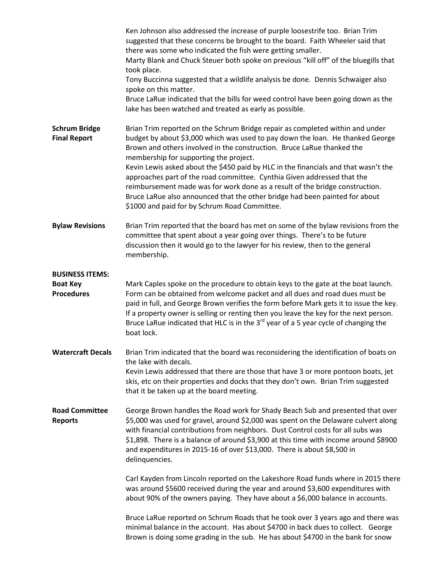|                                                                | Ken Johnson also addressed the increase of purple loosestrife too. Brian Trim<br>suggested that these concerns be brought to the board. Faith Wheeler said that<br>there was some who indicated the fish were getting smaller.<br>Marty Blank and Chuck Steuer both spoke on previous "kill off" of the bluegills that<br>took place.<br>Tony Buccinna suggested that a wildlife analysis be done. Dennis Schwaiger also<br>spoke on this matter.<br>Bruce LaRue indicated that the bills for weed control have been going down as the<br>lake has been watched and treated as early as possible.                                                                     |
|----------------------------------------------------------------|-----------------------------------------------------------------------------------------------------------------------------------------------------------------------------------------------------------------------------------------------------------------------------------------------------------------------------------------------------------------------------------------------------------------------------------------------------------------------------------------------------------------------------------------------------------------------------------------------------------------------------------------------------------------------|
| <b>Schrum Bridge</b><br><b>Final Report</b>                    | Brian Trim reported on the Schrum Bridge repair as completed within and under<br>budget by about \$3,000 which was used to pay down the loan. He thanked George<br>Brown and others involved in the construction. Bruce LaRue thanked the<br>membership for supporting the project.<br>Kevin Lewis asked about the \$450 paid by HLC in the financials and that wasn't the<br>approaches part of the road committee. Cynthia Given addressed that the<br>reimbursement made was for work done as a result of the bridge construction.<br>Bruce LaRue also announced that the other bridge had been painted for about<br>\$1000 and paid for by Schrum Road Committee. |
| <b>Bylaw Revisions</b>                                         | Brian Trim reported that the board has met on some of the bylaw revisions from the<br>committee that spent about a year going over things. There's to be future<br>discussion then it would go to the lawyer for his review, then to the general<br>membership.                                                                                                                                                                                                                                                                                                                                                                                                       |
| <b>BUSINESS ITEMS:</b><br><b>Boat Key</b><br><b>Procedures</b> | Mark Caples spoke on the procedure to obtain keys to the gate at the boat launch.<br>Form can be obtained from welcome packet and all dues and road dues must be<br>paid in full, and George Brown verifies the form before Mark gets it to issue the key.<br>If a property owner is selling or renting then you leave the key for the next person.<br>Bruce LaRue indicated that HLC is in the $3rd$ year of a 5 year cycle of changing the<br>boat lock.                                                                                                                                                                                                            |
| <b>Watercraft Decals</b>                                       | Brian Trim indicated that the board was reconsidering the identification of boats on<br>the lake with decals.<br>Kevin Lewis addressed that there are those that have 3 or more pontoon boats, jet<br>skis, etc on their properties and docks that they don't own. Brian Trim suggested<br>that it be taken up at the board meeting.                                                                                                                                                                                                                                                                                                                                  |
| <b>Road Committee</b><br><b>Reports</b>                        | George Brown handles the Road work for Shady Beach Sub and presented that over<br>\$5,000 was used for gravel, around \$2,000 was spent on the Delaware culvert along<br>with financial contributions from neighbors. Dust Control costs for all subs was<br>\$1,898. There is a balance of around \$3,900 at this time with income around \$8900<br>and expenditures in 2015-16 of over \$13,000. There is about \$8,500 in<br>delinquencies.                                                                                                                                                                                                                        |
|                                                                | Carl Kayden from Lincoln reported on the Lakeshore Road funds where in 2015 there<br>was around \$5600 received during the year and around \$3,600 expenditures with<br>about 90% of the owners paying. They have about a \$6,000 balance in accounts.                                                                                                                                                                                                                                                                                                                                                                                                                |
|                                                                | Bruce LaRue reported on Schrum Roads that he took over 3 years ago and there was<br>minimal balance in the account. Has about \$4700 in back dues to collect. George<br>Brown is doing some grading in the sub. He has about \$4700 in the bank for snow                                                                                                                                                                                                                                                                                                                                                                                                              |